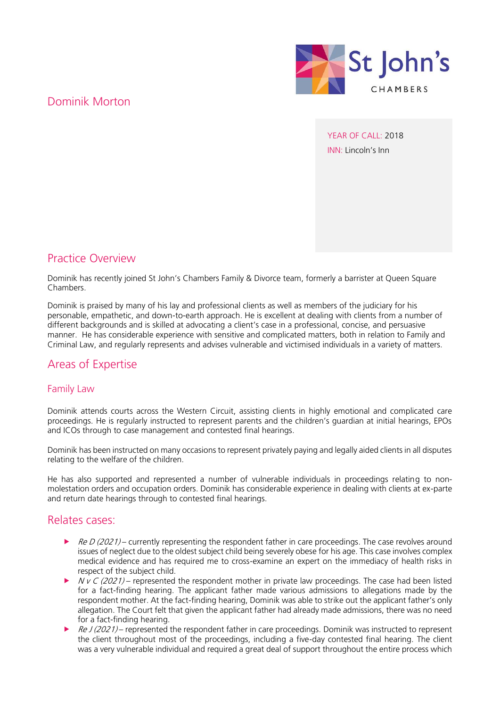## Dominik Morton



YEAR OF CALL: 2018 INN: Lincoln's Inn

### Practice Overview

Dominik has recently joined St John's Chambers Family & Divorce team, formerly a barrister at Queen Square Chambers.

Dominik is praised by many of his lay and professional clients as well as members of the judiciary for his personable, empathetic, and down-to-earth approach. He is excellent at dealing with clients from a number of different backgrounds and is skilled at advocating a client's case in a professional, concise, and persuasive manner. He has considerable experience with sensitive and complicated matters, both in relation to Family and Criminal Law, and regularly represents and advises vulnerable and victimised individuals in a variety of matters.

### Areas of Expertise

#### Family Law

Dominik attends courts across the Western Circuit, assisting clients in highly emotional and complicated care proceedings. He is regularly instructed to represent parents and the children's guardian at initial hearings, EPOs and ICOs through to case management and contested final hearings.

Dominik has been instructed on many occasions to represent privately paying and legally aided clients in all disputes relating to the welfare of the children.

He has also supported and represented a number of vulnerable individuals in proceedings relating to nonmolestation orders and occupation orders. Dominik has considerable experience in dealing with clients at ex-parte and return date hearings through to contested final hearings.

#### Relates cases:

- $\blacktriangleright$  Re D (2021) currently representing the respondent father in care proceedings. The case revolves around issues of neglect due to the oldest subject child being severely obese for his age. This case involves complex medical evidence and has required me to cross-examine an expert on the immediacy of health risks in respect of the subject child.
- $N$  v C (2021) represented the respondent mother in private law proceedings. The case had been listed for a fact-finding hearing. The applicant father made various admissions to allegations made by the respondent mother. At the fact-finding hearing, Dominik was able to strike out the applicant father's only allegation. The Court felt that given the applicant father had already made admissions, there was no need for a fact-finding hearing.
- Re J (2021) represented the respondent father in care proceedings. Dominik was instructed to represent the client throughout most of the proceedings, including a five-day contested final hearing. The client was a very vulnerable individual and required a great deal of support throughout the entire process which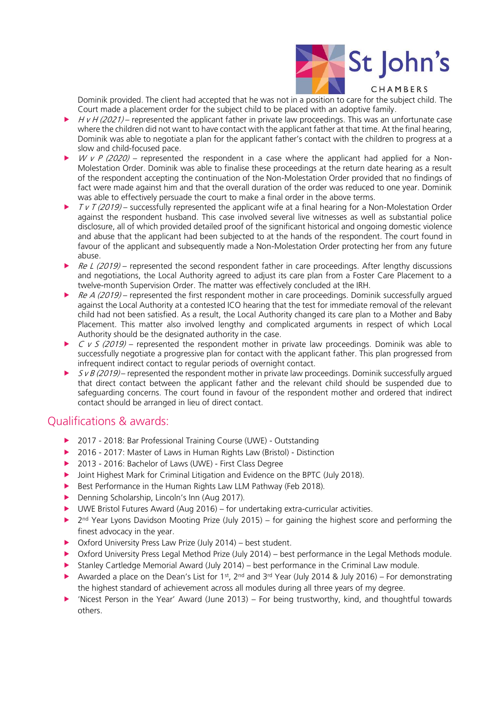

Dominik provided. The client had accepted that he was not in a position to care for the subject child. The Court made a placement order for the subject child to be placed with an adoptive family.

- $HvH(2021)$  represented the applicant father in private law proceedings. This was an unfortunate case where the children did not want to have contact with the applicant father at that time. At the final hearing, Dominik was able to negotiate a plan for the applicant father's contact with the children to progress at a slow and child-focused pace.
- W v P (2020) represented the respondent in a case where the applicant had applied for a Non-Molestation Order. Dominik was able to finalise these proceedings at the return date hearing as a result of the respondent accepting the continuation of the Non-Molestation Order provided that no findings of fact were made against him and that the overall duration of the order was reduced to one year. Dominik was able to effectively persuade the court to make a final order in the above terms.
- $TVT (2019)$  successfully represented the applicant wife at a final hearing for a Non-Molestation Order against the respondent husband. This case involved several live witnesses as well as substantial police disclosure, all of which provided detailed proof of the significant historical and ongoing domestic violence and abuse that the applicant had been subjected to at the hands of the respondent. The court found in favour of the applicant and subsequently made a Non-Molestation Order protecting her from any future abuse.
- $\triangleright$  Re L (2019) represented the second respondent father in care proceedings. After lengthy discussions and negotiations, the Local Authority agreed to adjust its care plan from a Foster Care Placement to a twelve-month Supervision Order. The matter was effectively concluded at the IRH.
- Re A (2019) represented the first respondent mother in care proceedings. Dominik successfully argued against the Local Authority at a contested ICO hearing that the test for immediate removal of the relevant child had not been satisfied. As a result, the Local Authority changed its care plan to a Mother and Baby Placement. This matter also involved lengthy and complicated arguments in respect of which Local Authority should be the designated authority in the case.
- $\triangleright$  C v S (2019) represented the respondent mother in private law proceedings. Dominik was able to successfully negotiate a progressive plan for contact with the applicant father. This plan progressed from infrequent indirect contact to regular periods of overnight contact.
- $SVB (2019)$  represented the respondent mother in private law proceedings. Dominik successfully argued that direct contact between the applicant father and the relevant child should be suspended due to safeguarding concerns. The court found in favour of the respondent mother and ordered that indirect contact should be arranged in lieu of direct contact.

### Qualifications & awards:

- ▶ 2017 2018: Bar Professional Training Course (UWE) Outstanding
- ▶ 2016 2017: Master of Laws in Human Rights Law (Bristol) Distinction
- ▶ 2013 2016: Bachelor of Laws (UWE) First Class Degree
- ▶ Joint Highest Mark for Criminal Litigation and Evidence on the BPTC (July 2018).
- Best Performance in the Human Rights Law LLM Pathway (Feb 2018).
- Denning Scholarship, Lincoln's Inn (Aug 2017).
- UWE Bristol Futures Award (Aug 2016) for undertaking extra-curricular activities.
- ▶ 2<sup>nd</sup> Year Lyons Davidson Mooting Prize (July 2015) for gaining the highest score and performing the finest advocacy in the year.
- ▶ Oxford University Press Law Prize (July 2014) best student.
- Oxford University Press Legal Method Prize (July 2014) best performance in the Legal Methods module.
- Stanley Cartledge Memorial Award (July 2014) best performance in the Criminal Law module.
- Awarded a place on the Dean's List for 1<sup>st</sup>, 2<sup>nd</sup> and 3<sup>rd</sup> Year (July 2014 & July 2016) For demonstrating the highest standard of achievement across all modules during all three years of my degree.
- 'Nicest Person in the Year' Award (June 2013) For being trustworthy, kind, and thoughtful towards others.